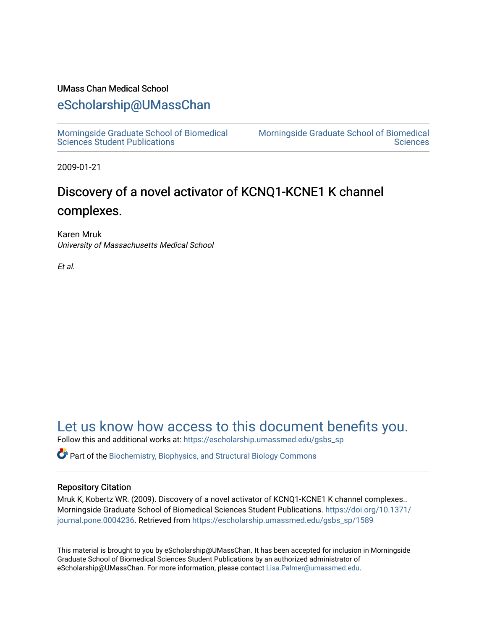### UMass Chan Medical School

## [eScholarship@UMassChan](https://escholarship.umassmed.edu/)

[Morningside Graduate School of Biomedical](https://escholarship.umassmed.edu/gsbs_sp)  [Sciences Student Publications](https://escholarship.umassmed.edu/gsbs_sp) 

[Morningside Graduate School of Biomedical](https://escholarship.umassmed.edu/gsbs)  **Sciences** 

2009-01-21

# Discovery of a novel activator of KCNQ1-KCNE1 K channel complexes.

Karen Mruk University of Massachusetts Medical School

Et al.

## [Let us know how access to this document benefits you.](https://arcsapps.umassmed.edu/redcap/surveys/?s=XWRHNF9EJE)

Follow this and additional works at: [https://escholarship.umassmed.edu/gsbs\\_sp](https://escholarship.umassmed.edu/gsbs_sp?utm_source=escholarship.umassmed.edu%2Fgsbs_sp%2F1589&utm_medium=PDF&utm_campaign=PDFCoverPages)

 $\bullet$  Part of the [Biochemistry, Biophysics, and Structural Biology Commons](http://network.bepress.com/hgg/discipline/1?utm_source=escholarship.umassmed.edu%2Fgsbs_sp%2F1589&utm_medium=PDF&utm_campaign=PDFCoverPages)

### Repository Citation

Mruk K, Kobertz WR. (2009). Discovery of a novel activator of KCNQ1-KCNE1 K channel complexes.. Morningside Graduate School of Biomedical Sciences Student Publications. [https://doi.org/10.1371/](https://doi.org/10.1371/journal.pone.0004236) [journal.pone.0004236](https://doi.org/10.1371/journal.pone.0004236). Retrieved from [https://escholarship.umassmed.edu/gsbs\\_sp/1589](https://escholarship.umassmed.edu/gsbs_sp/1589?utm_source=escholarship.umassmed.edu%2Fgsbs_sp%2F1589&utm_medium=PDF&utm_campaign=PDFCoverPages) 

This material is brought to you by eScholarship@UMassChan. It has been accepted for inclusion in Morningside Graduate School of Biomedical Sciences Student Publications by an authorized administrator of eScholarship@UMassChan. For more information, please contact [Lisa.Palmer@umassmed.edu](mailto:Lisa.Palmer@umassmed.edu).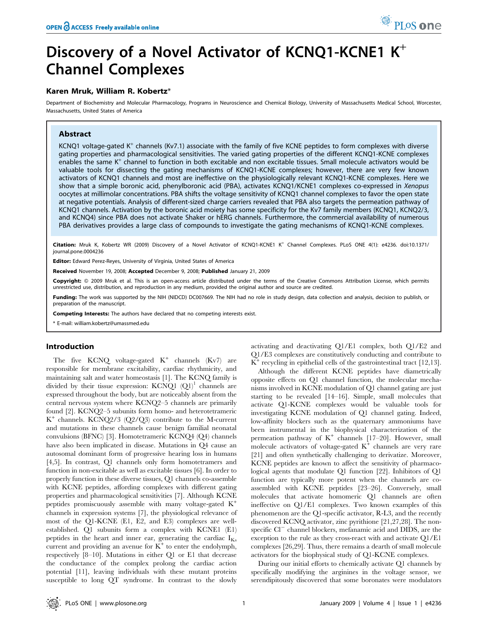# Discovery of a Novel Activator of KCNQ1-KCNE1  $K^+$ Channel Complexes

#### Karen Mruk, William R. Kobertz\*

Department of Biochemistry and Molecular Pharmacology, Programs in Neuroscience and Chemical Biology, University of Massachusetts Medical School, Worcester, Massachusetts, United States of America

#### Abstract

KCNQ1 voltage-gated  $K^+$  channels (Kv7.1) associate with the family of five KCNE peptides to form complexes with diverse gating properties and pharmacological sensitivities. The varied gating properties of the different KCNQ1-KCNE complexes enables the same  $K^+$  channel to function in both excitable and non excitable tissues. Small molecule activators would be valuable tools for dissecting the gating mechanisms of KCNQ1-KCNE complexes; however, there are very few known activators of KCNQ1 channels and most are ineffective on the physiologically relevant KCNQ1-KCNE complexes. Here we show that a simple boronic acid, phenylboronic acid (PBA), activates KCNQ1/KCNE1 complexes co-expressed in Xenopus oocytes at millimolar concentrations. PBA shifts the voltage sensitivity of KCNQ1 channel complexes to favor the open state at negative potentials. Analysis of different-sized charge carriers revealed that PBA also targets the permeation pathway of KCNQ1 channels. Activation by the boronic acid moiety has some specificity for the Kv7 family members (KCNQ1, KCNQ2/3, and KCNQ4) since PBA does not activate Shaker or hERG channels. Furthermore, the commercial availability of numerous PBA derivatives provides a large class of compounds to investigate the gating mechanisms of KCNQ1-KCNE complexes.

Citation: Mruk K, Kobertz WR (2009) Discovery of a Novel Activator of KCNQ1-KCNE1 K<sup>+</sup> Channel Complexes. PLoS ONE 4(1): e4236. doi:10.1371/ journal.pone.0004236

Editor: Edward Perez-Reyes, University of Virginia, United States of America

Received November 19, 2008; Accepted December 9, 2008; Published January 21, 2009

Copyright: @ 2009 Mruk et al. This is an open-access article distributed under the terms of the Creative Commons Attribution License, which permits unrestricted use, distribution, and reproduction in any medium, provided the original author and source are credited.

Funding: The work was supported by the NIH (NIDCD) DC007669. The NIH had no role in study design, data collection and analysis, decision to publish, or preparation of the manuscript.

Competing Interests: The authors have declared that no competing interests exist.

\* E-mail: william.kobertz@umassmed.edu

#### Introduction

The five KCNQ voltage-gated  $K^+$  channels  $(Kv7)$  are responsible for membrane excitability, cardiac rhythmicity, and maintaining salt and water homeostasis [1]. The KCNQ family is divided by their tissue expression:  $KCNQ1$   $(Q1)^1$  channels are expressed throughout the body, but are noticeably absent from the central nervous system where KCNQ2–5 channels are primarily found [2]. KCNQ2–5 subunits form homo- and heterotetrameric  $K^+$  channels. KCNQ2/3 (Q2/Q3) contribute to the M-current and mutations in these channels cause benign familial neonatal convulsions (BFNC) [3]. Homotetrameric KCNQ4 (Q4) channels have also been implicated in disease. Mutations in Q4 cause an autosomal dominant form of progressive hearing loss in humans [4,5]. In contrast, Q1 channels only form homotetramers and function in non-excitable as well as excitable tissues [6]. In order to properly function in these diverse tissues, Q1 channels co-assemble with KCNE peptides, affording complexes with different gating properties and pharmacological sensitivities [7]. Although KCNE peptides promiscuously assemble with many voltage-gated K<sup>+</sup> channels in expression systems [7], the physiological relevance of most of the Q1-KCNE (E1, E2, and E3) complexes are wellestablished. Q1 subunits form a complex with KCNE1 (E1) peptides in the heart and inner ear, generating the cardiac  $I_{Ks}$ current and providing an avenue for  $K^+$  to enter the endolymph, respectively [8–10]. Mutations in either Q1 or E1 that decrease the conductance of the complex prolong the cardiac action potential [11], leaving individuals with these mutant proteins susceptible to long QT syndrome. In contrast to the slowly

activating and deactivating Q1/E1 complex, both Q1/E2 and Q1/E3 complexes are constitutively conducting and contribute to  $K^+$  recycling in epithelial cells of the gastrointestinal tract [12,13].

Although the different KCNE peptides have diametrically opposite effects on Q1 channel function, the molecular mechanisms involved in KCNE modulation of Q1 channel gating are just starting to be revealed [14–16]. Simple, small molecules that activate Q1-KCNE complexes would be valuable tools for investigating KCNE modulation of Q1 channel gating. Indeed, low-affinity blockers such as the quaternary ammoniums have been instrumental in the biophysical characterization of the permeation pathway of  $K^+$  channels [17–20]. However, small molecule activators of voltage-gated  $K^+$  channels are very rare [21] and often synthetically challenging to derivatize. Moreover, KCNE peptides are known to affect the sensitivity of pharmacological agents that modulate Q1 function [22]. Inhibitors of Q1 function are typically more potent when the channels are coassembled with KCNE peptides [23–26]. Conversely, small molecules that activate homomeric Q1 channels are often ineffective on Q1/E1 complexes. Two known examples of this phenomenon are the Q1-specific activator, R-L3, and the recently discovered KCNQ activator, zinc pyrithione [21,27,28]. The nonspecific  $Cl^-$  channel blockers, mefanamic acid and DIDS, are the exception to the rule as they cross-react with and activate Q1/E1 complexes [26,29]. Thus, there remains a dearth of small molecule activators for the biophysical study of Q1-KCNE complexes.

During our initial efforts to chemically activate Q1 channels by specifically modifying the arginines in the voltage sensor, we serendipitously discovered that some boronates were modulators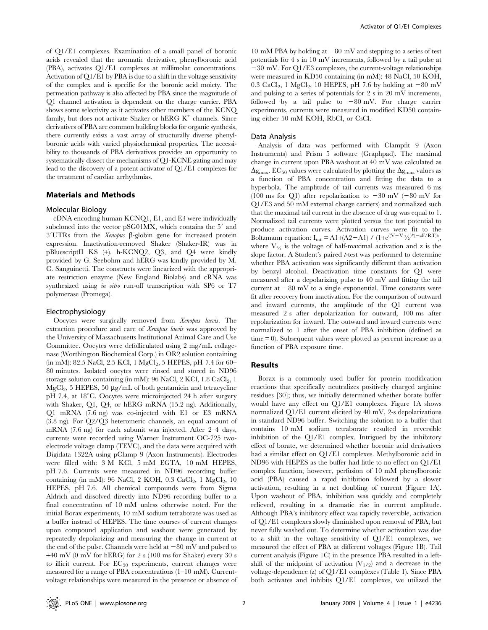of Q1/E1 complexes. Examination of a small panel of boronic acids revealed that the aromatic derivative, phenylboronic acid (PBA), activates Q1/E1 complexes at millimolar concentrations. Activation of Q1/E1 by PBA is due to a shift in the voltage sensitivity of the complex and is specific for the boronic acid moiety. The permeation pathway is also affected by PBA since the magnitude of Q1 channel activation is dependent on the charge carrier. PBA shows some selectivity as it activates other members of the KCNQ family, but does not activate Shaker or hERG  $K^+$  channels. Since derivatives of PBA are common building blocks for organic synthesis, there currently exists a vast array of structurally diverse phenylboronic acids with varied physiochemical properties. The accessibility to thousands of PBA derivatives provides an opportunity to systematically dissect the mechanisms of Q1-KCNE gating and may lead to the discovery of a potent activator of Q1/E1 complexes for the treatment of cardiac arrhythmias.

#### Materials and Methods

#### Molecular Biology

cDNA encoding human KCNQ1, E1, and E3 were individually subcloned into the vector  $pSG01MX$ , which contains the  $5'$  and  $3'UTRs$  from the *Xenopus*  $\beta$ -globin gene for increased protein expression. Inactivation-removed Shaker (Shaker-IR) was in pBluescriptII KS (+). h-KCNQ2, Q3, and Q4 were kindly provided by G. Seebohm and hERG was kindly provided by M. C. Sanguinetti. The constructs were linearized with the appropriate restriction enzyme (New England Biolabs) and cRNA was synthesized using in vitro run-off transcription with SP6 or T7 polymerase (Promega).

#### Electrophysiology

Oocytes were surgically removed from Xenopus laevis. The extraction procedure and care of Xenopus laevis was approved by the University of Massachusetts Institutional Animal Care and Use Committee. Oocytes were defolliculated using 2 mg/mL collagenase (Worthington Biochemical Corp.) in OR2 solution containing (in mM): 82.5 NaCl, 2.5 KCl, 1  $MgCl_2$ , 5 HEPES, pH 7.4 for 60– 80 minutes. Isolated oocytes were rinsed and stored in ND96 storage solution containing (in mM): 96 NaCl, 2 KCl, 1.8  $CaCl<sub>2</sub>$ , 1  $MgCl<sub>2</sub>$ , 5 HEPES, 50 µg/mL of both gentamicin and tetracycline pH 7.4, at 18<sup>°</sup>C. Oocytes were microinjected 24 h after surgery with Shaker, Q1, Q4, or hERG mRNA (15.2 ng). Additionally, Q1 mRNA (7.6 ng) was co-injected with E1 or E3 mRNA (3.8 ng). For Q2/Q3 heteromeric channels, an equal amount of mRNA (7.6 ng) for each subunit was injected. After 2–4 days, currents were recorded using Warner Instrument OC-725 twoelectrode voltage clamp (TEVC), and the data were acquired with Digidata 1322A using pClamp 9 (Axon Instruments). Electrodes were filled with: 3 M KCl, 5 mM EGTA, 10 mM HEPES, pH 7.6. Currents were measured in ND96 recording buffer containing (in mM): 96 NaCl, 2 KOH, 0.3 CaCl<sub>2</sub>, 1 MgCl<sub>2</sub>, 10 HEPES, pH 7.6. All chemical compounds were from Sigma Aldrich and dissolved directly into ND96 recording buffer to a final concentration of 10 mM unless otherwise noted. For the initial Borax experiments, 10 mM sodium tetraborate was used as a buffer instead of HEPES. The time courses of current changes upon compound application and washout were generated by repeatedly depolarizing and measuring the change in current at the end of the pulse. Channels were held at  $-80$  mV and pulsed to +40 mV (0 mV for hERG) for 2 s (100 ms for Shaker) every 30 s to illicit current. For  $EC_{50}$  experiments, current changes were measured for a range of PBA concentrations (1–10 mM). Currentvoltage relationships were measured in the presence or absence of

10 mM PBA by holding at  $-80$  mV and stepping to a series of test potentials for 4 s in 10 mV increments, followed by a tail pulse at  $-30$  mV. For Q1/E3 complexes, the current-voltage relationships were measured in KD50 containing (in mM): 48 NaCl, 50 KOH, 0.3 CaCl<sub>2</sub>, 1 MgCl<sub>2</sub>, 10 HEPES, pH 7.6 by holding at  $-80$  mV and pulsing to a series of potentials for 2 s in 20 mV increments, followed by a tail pulse to  $-80$  mV. For charge carrier experiments, currents were measured in modified KD50 containing either 50 mM KOH, RbCl, or CsCl.

#### Data Analysis

Analysis of data was performed with Clampfit 9 (Axon Instruments) and Prism 5 software (Graphpad). The maximal change in current upon PBA washout at 40 mV was calculated as  $\Delta g_{\text{max}}$ . EC<sub>50</sub> values were calculated by plotting the  $\Delta g_{\text{max}}$  values as a function of PBA concentration and fitting the data to a hyperbola. The amplitude of tail currents was measured 6 ms (100 ms for Q1) after repolarization to  $-30$  mV ( $-80$  mV for Q1/E3 and 50 mM external charge carriers) and normalized such that the maximal tail current in the absence of drug was equal to 1. Normalized tail currents were plotted versus the test potential to produce activation curves. Activation curves were fit to the Boltzmann equation:  $I_{tail} = A1+(A2-A1) / (1+e^{((V-V)}/2)^*(-zF/RT))$ , where  $V_{V_2}$  is the voltage of half-maximal activation and z is the slope factor. A Student's paired t-test was performed to determine whether PBA activation was significantly different than activation by benzyl alcohol. Deactivation time constants for Q1 were measured after a depolarizing pulse to 40 mV and fitting the tail current at  $-80$  mV to a single exponential. Time constants were fit after recovery from inactivation. For the comparison of outward and inward currents, the amplitude of the Q1 current was measured 2 s after depolarization for outward, 100 ms after repolarization for inward. The outward and inward currents were normalized to 1 after the onset of PBA inhibition (defined as time = 0). Subsequent values were plotted as percent increase as a function of PBA exposure time.

#### Results

Borax is a commonly used buffer for protein modification reactions that specifically neutralizes positively charged arginine residues [30]; thus, we initially determined whether borate buffer would have any effect on Q1/E1 complexes. Figure 1A shows normalized Q1/E1 current elicited by 40 mV, 2-s depolarizations in standard ND96 buffer. Switching the solution to a buffer that contains 10 mM sodium tetraborate resulted in reversible inhibition of the Q1/E1 complex. Intrigued by the inhibitory effect of borate, we determined whether boronic acid derivatives had a similar effect on Q1/E1 complexes. Methylboronic acid in ND96 with HEPES as the buffer had little to no effect on Q1/E1 complex function; however, perfusion of 10 mM phenylboronic acid (PBA) caused a rapid inhibition followed by a slower activation, resulting in a net doubling of current (Figure 1A). Upon washout of PBA, inhibition was quickly and completely relieved, resulting in a dramatic rise in current amplitude. Although PBA's inhibitory effect was rapidly reversible, activation of Q1/E1 complexes slowly diminished upon removal of PBA, but never fully washed out. To determine whether activation was due to a shift in the voltage sensitivity of Q1/E1 complexes, we measured the effect of PBA at different voltages (Figure 1B). Tail current analysis (Figure 1C) in the presence PBA resulted in a leftshift of the midpoint of activation  $(V_{1/2})$  and a decrease in the voltage-dependence (z) of Q1/E1 complexes (Table 1). Since PBA both activates and inhibits Q1/E1 complexes, we utilized the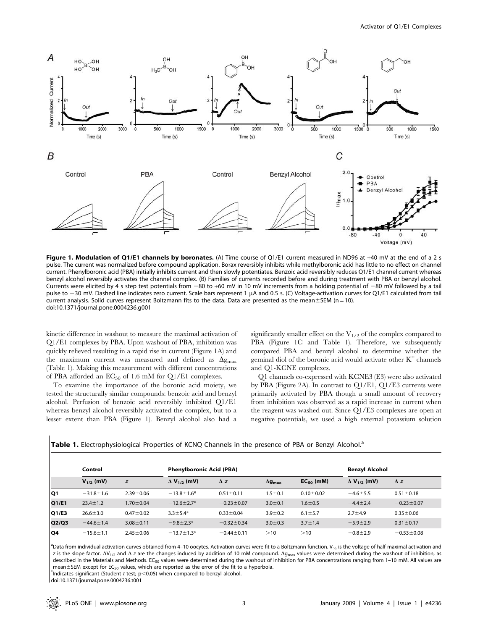

Figure 1. Modulation of Q1/E1 channels by boronates. (A) Time course of Q1/E1 current measured in ND96 at +40 mV at the end of a 2 s pulse. The current was normalized before compound application. Borax reversibly inhibits while methylboronic acid has little to no effect on channel current. Phenylboronic acid (PBA) initially inhibits current and then slowly potentiates. Benzoic acid reversibly reduces Q1/E1 channel current whereas benzyl alcohol reversibly activates the channel complex. (B) Families of currents recorded before and during treatment with PBA or benzyl alcohol. Currents were elicited by 4 s step test potentials from  $-80$  to  $+60$  mV in 10 mV increments from a holding potential of  $-80$  mV followed by a tail pulse to -30 mV. Dashed line indicates zero current. Scale bars represent 1 µA and 0.5 s. (C) Voltage-activation curves for Q1/E1 calculated from tail current analysis. Solid curves represent Boltzmann fits to the data. Data are presented as the mean $\pm$ SEM (n = 10). doi:10.1371/journal.pone.0004236.g001

kinetic difference in washout to measure the maximal activation of Q1/E1 complexes by PBA. Upon washout of PBA, inhibition was quickly relieved resulting in a rapid rise in current (Figure 1A) and the maximum current was measured and defined as  $\Delta g_{\rm max}$ (Table 1). Making this measurement with different concentrations of PBA afforded an  $EC_{50}$  of 1.6 mM for Q1/E1 complexes.

To examine the importance of the boronic acid moiety, we tested the structurally similar compounds: benzoic acid and benzyl alcohol. Perfusion of benzoic acid reversibly inhibited Q1/E1 whereas benzyl alcohol reversibly activated the complex, but to a lesser extent than PBA (Figure 1). Benzyl alcohol also had a

significantly smaller effect on the  $V_{1/2}$  of the complex compared to PBA (Figure 1C and Table 1). Therefore, we subsequently compared PBA and benzyl alcohol to determine whether the geminal diol of the boronic acid would activate other  $K^+$  channels and Q1-KCNE complexes.

Q1 channels co-expressed with KCNE3 (E3) were also activated by PBA (Figure 2A). In contrast to Q1/E1, Q1/E3 currents were primarily activated by PBA though a small amount of recovery from inhibition was observed as a rapid increase in current when the reagent was washed out. Since Q1/E3 complexes are open at negative potentials, we used a high external potassium solution

|  | Table 1. Electrophysiological Properties of KCNQ Channels in the presence of PBA or Benzyl Alcohol. <sup>a</sup> |  |  |  |  |  |  |
|--|------------------------------------------------------------------------------------------------------------------|--|--|--|--|--|--|
|--|------------------------------------------------------------------------------------------------------------------|--|--|--|--|--|--|

|       | Control         |                 | <b>Phenylboronic Acid (PBA)</b> |                  |                           |                 | <b>Benzyl Alcohol</b>          |                  |
|-------|-----------------|-----------------|---------------------------------|------------------|---------------------------|-----------------|--------------------------------|------------------|
|       | $V_{1/2}$ (mV)  | z               | $\Delta$ V <sub>1/2</sub> (mV)  | $\Delta$ z       | $\Delta$ g <sub>max</sub> | $EC_{50}$ (mM)  | $\Delta$ V <sub>1/2</sub> (mV) | $\Delta$ z       |
| l Q1  | $-31.8 \pm 1.6$ | $2.39 \pm 0.06$ | $-13.8 \pm 1.6*$                | $0.51 \pm 0.11$  | $1.5 \pm 0.1$             | $0.10 \pm 0.02$ | $-4.6 \pm 5.5$                 | $0.51 \pm 0.18$  |
| Q1/E1 | $23.4 \pm 1.2$  | $1.70 \pm 0.04$ | $-12.6 \pm 2.7*$                | $-0.23 \pm 0.07$ | $3.0 \pm 0.1$             | $1.6 \pm 0.5$   | $-4.4 \pm 2.4$                 | $-0.23 \pm 0.07$ |
| Q1/E3 | $26.6 \pm 3.0$  | $0.47 \pm 0.02$ | $3.3 \pm 5.4*$                  | $0.33 \pm 0.04$  | $3.9 \pm 0.2$             | $6.1 \pm 5.7$   | $2.7 + 4.9$                    | $0.35 \pm 0.06$  |
| Q2/Q3 | $-44.6 \pm 1.4$ | $3.08 \pm 0.11$ | $-9.8 \pm 2.3*$                 | $-0.32 \pm 0.34$ | $3.0 \pm 0.3$             | $3.7 \pm 1.4$   | $-5.9 \pm 2.9$                 | $0.31 \pm 0.17$  |
| l Q4  | $-15.6 \pm 1.1$ | $2.45 \pm 0.06$ | $-13.7 \pm 1.3*$                | $-0.44 \pm 0.11$ | >10                       | >10             | $-0.8 + 2.9$                   | $-0.53 \pm 0.08$ |

<sup>a</sup>Data from individual activation curves obtained from 4–10 oocytes. Activation curves were fit to a Boltzmann function. V<sub>14</sub> is the voltage of half-maximal activation and z is the slope factor.  $\Delta V_{1/2}$  and  $\Delta$  z are the changes induced by addition of 10 mM compound.  $\Delta g_{\text{max}}$  values were determined during the washout of inhibition, as described in the Materials and Methods. EC<sub>50</sub> values were determined during the washout of inhibition for PBA concentrations ranging from 1-10 mM. All values are mean $\pm$ SEM except for EC<sub>50</sub> values, which are reported as the error of the fit to a hyperbola.  $*$ Indicates significant (Student t-test; p $<$ 0.05) when compared to benzyl alcohol.

doi:10.1371/journal.pone.0004236.t001

 $\overline{\phantom{a}}$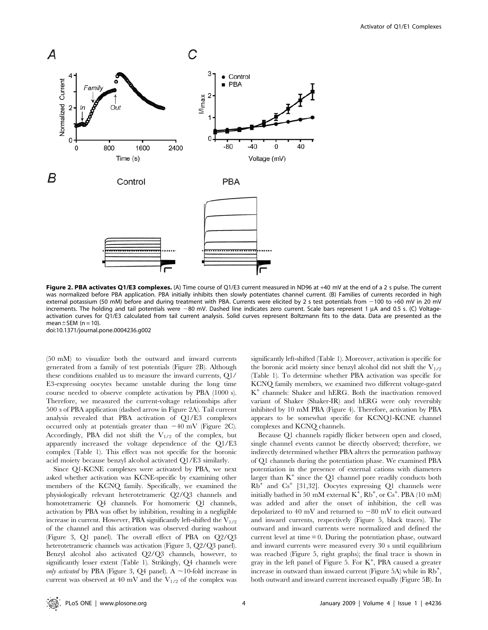

Figure 2. PBA activates Q1/E3 complexes. (A) Time course of Q1/E3 current measured in ND96 at +40 mV at the end of a 2 s pulse. The current was normalized before PBA application. PBA initially inhibits then slowly potentiates channel current. (B) Families of currents recorded in high external potassium (50 mM) before and during treatment with PBA. Currents were elicited by 2 s test potentials from -100 to +60 mV in 20 mV increments. The holding and tail potentials were -80 mV. Dashed line indicates zero current. Scale bars represent 1 µA and 0.5 s. (C) Voltageactivation curves for Q1/E3 calculated from tail current analysis. Solid curves represent Boltzmann fits to the data. Data are presented as the mean $\pm$ SEM (n = 10).

doi:10.1371/journal.pone.0004236.g002

(50 mM) to visualize both the outward and inward currents generated from a family of test potentials (Figure 2B). Although these conditions enabled us to measure the inward currents, Q1/ E3-expressing oocytes became unstable during the long time course needed to observe complete activation by PBA (1000 s). Therefore, we measured the current-voltage relationships after 500 s of PBA application (dashed arrow in Figure 2A). Tail current analysis revealed that PBA activation of Q1/E3 complexes occurred only at potentials greater than  $-40$  mV (Figure 2C). Accordingly, PBA did not shift the  $V_{1/2}$  of the complex, but apparently increased the voltage dependence of the Q1/E3 complex (Table 1). This effect was not specific for the boronic acid moiety because benzyl alcohol activated Q1/E3 similarly.

Since Q1-KCNE complexes were activated by PBA, we next asked whether activation was KCNE-specific by examining other members of the KCNQ family. Specifically, we examined the physiologically relevant heterotetrameric Q2/Q3 channels and homotetrameric Q4 channels. For homomeric Q1 channels, activation by PBA was offset by inhibition, resulting in a negligible increase in current. However, PBA significantly left-shifted the  $V_{1/2}$ of the channel and this activation was observed during washout (Figure 3, Q1 panel). The overall effect of PBA on Q2/Q3 heterotetrameric channels was activation (Figure 3, Q2/Q3 panel). Benzyl alcohol also activated Q2/Q3 channels, however, to significantly lesser extent (Table 1). Strikingly, Q4 channels were only activated by PBA (Figure 3, Q4 panel). A  $\sim$ 10-fold increase in current was observed at 40 mV and the  $V_{1/2}$  of the complex was significantly left-shifted (Table 1). Moreover, activation is specific for the boronic acid moiety since benzyl alcohol did not shift the  $V_{1/2}$ (Table 1). To determine whether PBA activation was specific for KCNQ family members, we examined two different voltage-gated K<sup>+</sup> channels: Shaker and hERG. Both the inactivation removed variant of Shaker (Shaker-IR) and hERG were only reversibly inhibited by 10 mM PBA (Figure 4). Therefore, activation by PBA appears to be somewhat specific for KCNQ1-KCNE channel complexes and KCNQ channels.

Because Q1 channels rapidly flicker between open and closed, single channel events cannot be directly observed; therefore, we indirectly determined whether PBA alters the permeation pathway of Q1 channels during the potentiation phase. We examined PBA potentiation in the presence of external cations with diameters larger than  $K^+$  since the Q1 channel pore readily conducts both  $Rb$ <sup>+</sup> and  $Cs$ <sup>+</sup> [31,32]. Oocytes expressing Q1 channels were initially bathed in 50 mM external  $K^{\frac{1}{7}}$ ,  $Rb^{\frac{1}{7}}$ , or  $Cs^{\frac{1}{7}}$ . PBA (10 mM) was added and after the onset of inhibition, the cell was depolarized to 40 mV and returned to  $-80$  mV to elicit outward and inward currents, respectively (Figure 5, black traces). The outward and inward currents were normalized and defined the current level at time  $= 0$ . During the potentiation phase, outward and inward currents were measured every 30 s until equilibrium was reached (Figure 5, right graphs); the final trace is shown in gray in the left panel of Figure 5. For  $K^+$ , PBA caused a greater increase in outward than inward current (Figure 5A) while in  $\text{Rb}^+$ , both outward and inward current increased equally (Figure 5B). In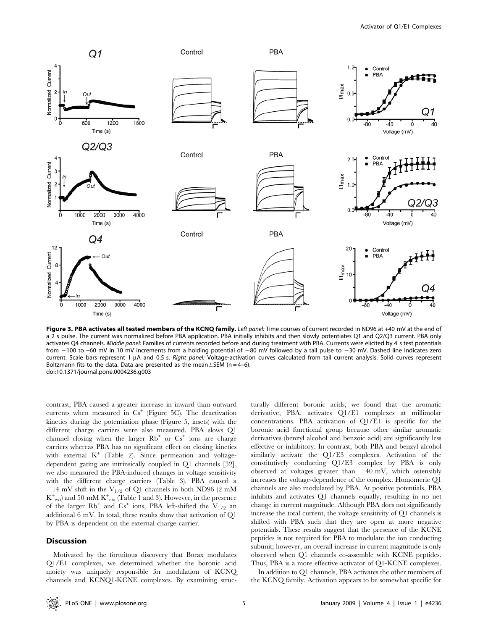

Figure 3. PBA activates all tested members of the KCNQ family. Left panel: Time courses of current recorded in ND96 at +40 mV at the end of a 2 s pulse. The current was normalized before PBA application. PBA initially inhibits and then slowly potentiates Q1 and Q2/Q3 current. PBA only activates Q4 channels. Middle panel: Families of currents recorded before and during treatment with PBA. Currents were elicited by 4 s test potentials from  $-100$  to +60 mV in 10 mV increments from a holding potential of  $-80$  mV followed by a tail pulse to  $-30$  mV. Dashed line indicates zero current. Scale bars represent 1 µA and 0.5 s. Right panel: Voltage-activation curves calculated from tail current analysis. Solid curves represent Boltzmann fits to the data. Data are presented as the mean $\pm$ SEM (n = 4–6). doi:10.1371/journal.pone.0004236.g003

contrast, PBA caused a greater increase in inward than outward currents when measured in  $Cs^+$  (Figure 5C). The deactivation kinetics during the potentiation phase (Figure 5, insets) with the different charge carriers were also measured. PBA slows Q1 channel closing when the larger  $Rb^+$  or  $Cs^+$  ions are charge carriers whereas PBA has no significant effect on closing kinetics with external  $K^+$  (Table 2). Since permeation and voltagedependent gating are intrinsically coupled in Q1 channels [32], we also measured the PBA-induced changes in voltage sensitivity with the different charge carriers (Table 3). PBA caused a  $-14$  mV shift in the V<sub>1/2</sub> of Q1 channels in both ND96 (2 mM  $K^{+}_{ext}$ ) and 50 mM  $K^{+}_{ext}$  (Table 1 and 3). However, in the presence of the larger  $Rb^+$  and  $Cs^+$  ions, PBA left-shifted the  $V_{1/2}$  an additional 6 mV. In total, these results show that activation of Q1 by PBA is dependent on the external charge carrier.

#### Discussion

Motivated by the fortuitous discovery that Borax modulates Q1/E1 complexes, we determined whether the boronic acid moiety was uniquely responsible for modulation of KCNQ channels and KCNQ1-KCNE complexes. By examining structurally different boronic acids, we found that the aromatic derivative, PBA, activates Q1/E1 complexes at millimolar concentrations. PBA activation of Q1/E1 is specific for the boronic acid functional group because other similar aromatic derivatives (benzyl alcohol and benzoic acid) are significantly less effective or inhibitory. In contrast, both PBA and benzyl alcohol similarly activate the Q1/E3 complexes. Activation of the constitutively conducting Q1/E3 complex by PBA is only observed at voltages greater than  $-40$  mV, which ostensibly increases the voltage-dependence of the complex. Homomeric Q1 channels are also modulated by PBA. At positive potentials, PBA inhibits and activates Q1 channels equally, resulting in no net change in current magnitude. Although PBA does not significantly increase the total current, the voltage sensitivity of Q1 channels is shifted with PBA such that they are open at more negative potentials. These results suggest that the presence of the KCNE peptides is not required for PBA to modulate the ion conducting subunit; however, an overall increase in current magnitude is only observed when Q1 channels co-assemble with KCNE peptides. Thus, PBA is a more effective activator of Q1-KCNE complexes.

In addition to Q1 channels, PBA activates the other members of the KCNQ family. Activation appears to be somewhat specific for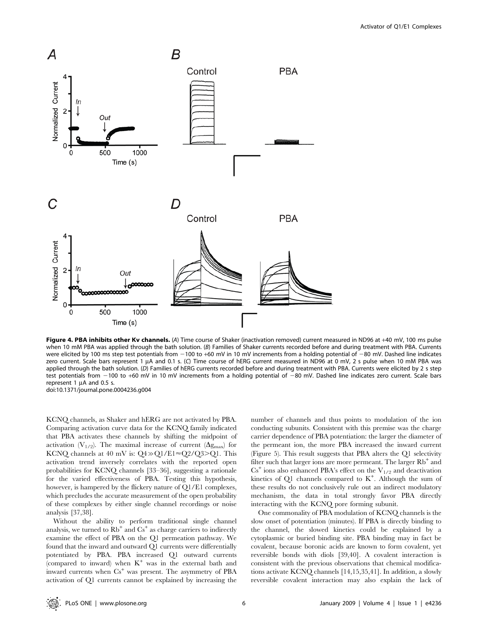

Figure 4. PBA inhibits other Kv channels. (A) Time course of Shaker (inactivation removed) current measured in ND96 at +40 mV, 100 ms pulse when 10 mM PBA was applied through the bath solution. (B) Families of Shaker currents recorded before and during treatment with PBA. Currents were elicited by 100 ms step test potentials from  $-100$  to +60 mV in 10 mV increments from a holding potential of  $-80$  mV. Dashed line indicates zero current. Scale bars represent 1 µA and 0.1 s. (C) Time course of hERG current measured in ND96 at 0 mV, 2 s pulse when 10 mM PBA was applied through the bath solution. (D) Families of hERG currents recorded before and during treatment with PBA. Currents were elicited by 2 s step test potentials from  $-100$  to +60 mV in 10 mV increments from a holding potential of  $-80$  mV. Dashed line indicates zero current. Scale bars represent 1  $\mu$ A and 0.5 s. doi:10.1371/journal.pone.0004236.g004

KCNQ channels, as Shaker and hERG are not activated by PBA. Comparing activation curve data for the KCNQ family indicated that PBA activates these channels by shifting the midpoint of activation  $(V_{1/2})$ . The maximal increase of current  $(\Delta g_{\text{max}})$  for KCNQ channels at 40 mV is:  $Q4 \gg Q1/E1 \approx Q2/Q3 > Q1$ . This activation trend inversely correlates with the reported open probabilities for KCNQ channels [33–36], suggesting a rationale for the varied effectiveness of PBA. Testing this hypothesis, however, is hampered by the flickery nature of Q1/E1 complexes, which precludes the accurate measurement of the open probability of these complexes by either single channel recordings or noise analysis [37,38].

Without the ability to perform traditional single channel analysis, we turned to  $Rb^+$  and  $Cs^+$  as charge carriers to indirectly examine the effect of PBA on the Q1 permeation pathway. We found that the inward and outward Q1 currents were differentially potentiated by PBA. PBA increased Q1 outward currents (compared to inward) when  $K^+$  was in the external bath and inward currents when  $Cs<sup>+</sup>$  was present. The asymmetry of PBA activation of Q1 currents cannot be explained by increasing the

number of channels and thus points to modulation of the ion conducting subunits. Consistent with this premise was the charge carrier dependence of PBA potentiation: the larger the diameter of the permeant ion, the more PBA increased the inward current (Figure 5). This result suggests that PBA alters the Q1 selectivity filter such that larger ions are more permeant. The larger  $Rb^+$  and  $Cs<sup>+</sup>$  ions also enhanced PBA's effect on the  $V<sub>1/2</sub>$  and deactivation kinetics of  $Q1$  channels compared to  $K^+$ . Although the sum of these results do not conclusively rule out an indirect modulatory mechanism, the data in total strongly favor PBA directly interacting with the KCNQ pore forming subunit.

One commonality of PBA modulation of KCNQ channels is the slow onset of potentiation (minutes). If PBA is directly binding to the channel, the slowed kinetics could be explained by a cytoplasmic or buried binding site. PBA binding may in fact be covalent, because boronic acids are known to form covalent, yet reversible bonds with diols [39,40]. A covalent interaction is consistent with the previous observations that chemical modifications activate KCNQ channels [14,15,35,41]. In addition, a slowly reversible covalent interaction may also explain the lack of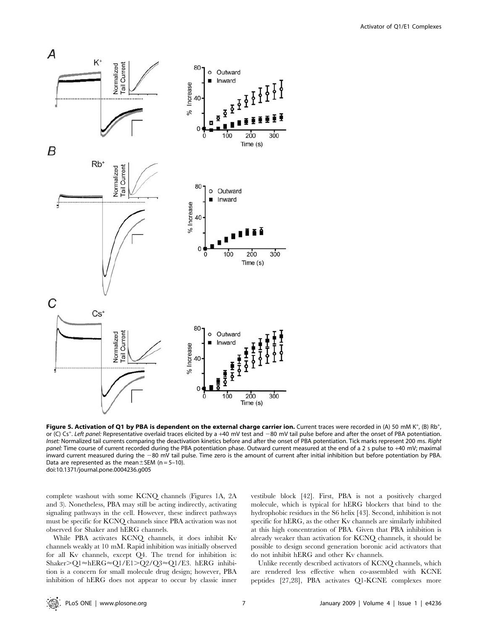

Figure 5. Activation of Q1 by PBA is dependent on the external charge carrier ion. Current traces were recorded in (A) 50 mM K<sup>+</sup>, (B) Rb<sup>+</sup>, or (C) Cs<sup>+</sup>. Left panel: Representative overlaid traces elicited by a +40 mV test and -80 mV tail pulse before and after the onset of PBA potentiation. Inset: Normalized tail currents comparing the deactivation kinetics before and after the onset of PBA potentiation. Tick marks represent 200 ms. Right panel: Time course of current recorded during the PBA potentiation phase. Outward current measured at the end of a 2 s pulse to +40 mV; maximal inward current measured during the -80 mV tail pulse. Time zero is the amount of current after initial inhibition but before potentiation by PBA. Data are represented as the mean $\pm$ SEM (n = 5–10). doi:10.1371/journal.pone.0004236.g005

complete washout with some KCNQ channels (Figures 1A, 2A and 3). Nonetheless, PBA may still be acting indirectly, activating signaling pathways in the cell. However, these indirect pathways must be specific for KCNQ channels since PBA activation was not observed for Shaker and hERG channels.

While PBA activates KCNQ channels, it does inhibit Kv channels weakly at 10 mM. Rapid inhibition was initially observed for all Kv channels, except Q4. The trend for inhibition is: Shaker>Q1≈hERG≈Q1/E1>Q2/Q3≈Q1/E3. hERG inhibition is a concern for small molecule drug design; however, PBA inhibition of hERG does not appear to occur by classic inner

vestibule block [42]. First, PBA is not a positively charged molecule, which is typical for hERG blockers that bind to the hydrophobic residues in the S6 helix [43]. Second, inhibition is not specific for hERG, as the other Kv channels are similarly inhibited at this high concentration of PBA. Given that PBA inhibition is already weaker than activation for KCNQ channels, it should be possible to design second generation boronic acid activators that do not inhibit hERG and other Kv channels.

Unlike recently described activators of KCNQ channels, which are rendered less effective when co-assembled with KCNE peptides [27,28], PBA activates Q1-KCNE complexes more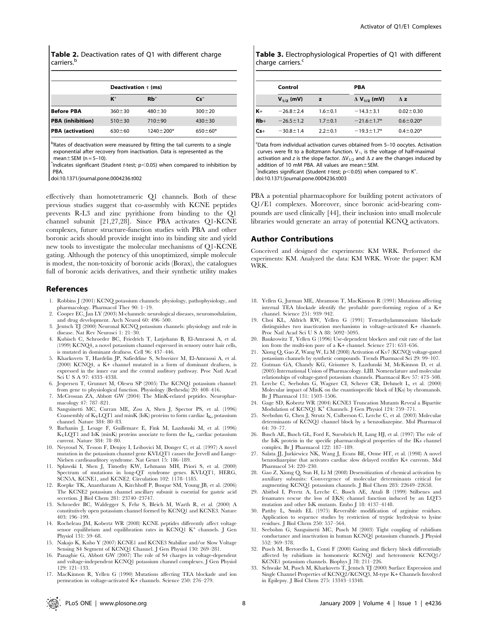Table 2. Deactivation rates of Q1 with different charge carriers.<sup>b</sup>

|                         | Deactivation $\tau$ (ms) |                 |                 |  |  |
|-------------------------|--------------------------|-----------------|-----------------|--|--|
|                         | $K^+$                    | $Rb^+$          | $\mathsf{Cs}^+$ |  |  |
| <b>Before PBA</b>       | $360 \pm 30$             | $480 \pm 30$    | $300 + 20$      |  |  |
| <b>PBA</b> (inhibition) | $510 \pm 30$             | 710±90          | $430 \pm 30$    |  |  |
| <b>PBA</b> (activation) | $630 + 60$               | $1240 \pm 200*$ | $650 \pm 60*$   |  |  |

<sup>b</sup>Rates of deactivation were measured by fitting the tail currents to a single exponential after recovery from inactivation. Data is represented as the mean  $+$  SFM (n = 5–10).

 $*$ Indicates significant (Student t-test; p $<$ 0.05) when compared to inhibition by PBA.

doi:10.1371/journal.pone.0004236.t002

effectively than homotetrameric Q1 channels. Both of these previous studies suggest that co-assembly with KCNE peptides prevents R-L3 and zinc pyrithione from binding to the Q1 channel subunit [21,27,28]. Since PBA activates Q1-KCNE complexes, future structure-function studies with PBA and other boronic acids should provide insight into its binding site and yield new tools to investigate the molecular mechanisms of Q1-KCNE gating. Although the potency of this unoptimized, simple molecule is modest, the non-toxicity of boronic acids (Borax), the catalogues full of boronic acids derivatives, and their synthetic utility makes

#### References

- 1. Robbins J (2001) KCNQ potassium channels: physiology, pathophysiology, and pharmacology. Pharmacol Ther 90: 1–19. 2. Cooper EC, Jan LY (2003) M-channels: neurological diseases, neuromodulation,
- and drug development. Arch Neurol 60: 496–500.
- 3. Jentsch TJ (2000) Neuronal KCNQ potassium channels: physiology and role in disease. Nat Rev Neurosci 1: 21–30.
- 4. Kubisch C, Schroeder BC, Friedrich T, Lutjohann B, El-Amraoui A, et al. (1999) KCNQ4, a novel potassium channel expressed in sensory outer hair cells, is mutated in dominant deafness. Cell 96: 437–446.
- 5. Kharkovets T, Hardelin JP, Safieddine S, Schweizer M, El-Amraoui A, et al. (2000) KCNQ4, a K+ channel mutated in a form of dominant deafness, is expressed in the inner ear and the central auditory pathway. Proc Natl Acad Sci U S A 97: 4333–4338.
- 6. Jespersen T, Grunnet M, Olesen SP (2005) The KCNQ1 potassium channel: from gene to physiological function. Physiology (Bethesda) 20: 408–416.
- 7. McCrossan ZA, Abbott GW (2004) The MinK-related peptides. Neuropharmacology 47: 787–821.
- 8. Sanguinetti MC, Curran ME, Zou A, Shen J, Spector PS, et al. (1996) Coassembly of  $K_V LQT1$  and minK (IsK) proteins to form cardiac  $I_{Ks}$  potassium channel. Nature 384: 80–83.
- 9. Barhanin J, Lesage F, Guillemare E, Fink M, Lazdunski M, et al. (1996)  $K_V LQT1$  and IsK (minK) proteins associate to form the  $I_{Ks}$  cardiac potassium current. Nature 384: 78–80.
- 10. Neyroud N, Tesson F, Denjoy I, Leibovici M, Donger C, et al. (1997) A novel mutation in the potassium channel gene KVLQT1 causes the Jervell and Lange-Nielsen cardioauditory syndrome. Nat Genet 15: 186–189.
- 11. Splawski I, Shen J, Timothy KW, Lehmann MH, Priori S, et al. (2000) Spectrum of mutations in long-QT syndrome genes. KVLQT1, HERG, SCN5A, KCNE1, and KCNE2. Circulation 102: 1178–1185.
- 12. Roepke TK, Anantharam A, Kirchhoff P, Busque SM, Young JB, et al. (2006) The KCNE2 potassium channel ancillary subunit is essential for gastric acid secretion. J Biol Chem 281: 23740–23747.
- 13. Schroeder BC, Waldegger S, Fehr S, Bleich M, Warth R, et al. (2000) A constitutively open potassium channel formed by KCNQ1 and KCNE3. Nature 403: 196–199.
- 14. Rocheleau JM, Kobertz WR (2008) KCNE peptides differently affect voltage sensor equilibrium and equilibration rates in KCNQ1 K<sup>+</sup> channels. J Gen Physiol 131: 59–68.
- 15. Nakajo K, Kubo Y (2007) KCNE1 and KCNE3 Stabilize and/or Slow Voltage Sensing S4 Segment of KCNQ1 Channel. J Gen Physiol 130: 269–281.
- 16. Panaghie G, Abbott GW (2007) The role of S4 charges in voltage-dependent and voltage-independent KCNQ1 potassium channel complexes. J Gen Physiol 129: 121–133.
- 17. MacKinnon R, Yellen G (1990) Mutations affecting TEA blockade and ion permeation in voltage-activated K+ channels. Science 250: 276–279.

Table 3. Electrophysiological Properties of Q1 with different charge carriers.<sup>c</sup>

|       | Control         |               | <b>PBA</b>                     |                 |  |  |
|-------|-----------------|---------------|--------------------------------|-----------------|--|--|
|       | $V_{1/2}$ (mV)  | z             | $\Delta$ V <sub>1/2</sub> (mV) | $\Delta$ z      |  |  |
| $K+$  | $-26.8 \pm 2.4$ | $1.6 \pm 0.1$ | $-14.3 \pm 3.1$                | $0.02 \pm 0.30$ |  |  |
| $Rb+$ | $-26.5 \pm 1.2$ | $1.7 \pm 0.1$ | $-21.6 \pm 1.7$ *              | $0.6 \pm 0.20*$ |  |  |
| $Cs+$ | $-30.8 \pm 1.4$ | $2.2 \pm 0.1$ | $-19.3 \pm 1.7^*$              | $0.4 \pm 0.20*$ |  |  |

c Data from individual activation curves obtained from 5–10 oocytes. Activation curves were fit to a Boltzmann function.  $V_{\frac{1}{2}}$  is the voltage of half-maximal activation and z is the slope factor.  $\Delta V_{1/2}$  and  $\Delta$  z are the changes induced by addition of 10 mM PBA. All values are mean $\pm$ SEM.

Indicates significant (Student t-test;  $p$ <0.05) when compared to  $K^+$ .

doi:10.1371/journal.pone.0004236.t003

PBA a potential pharmacophore for building potent activators of Q1/E1 complexes. Moreover, since boronic acid-bearing compounds are used clinically [44], their inclusion into small molecule libraries would generate an array of potential KCNQ activators.

#### Author Contributions

Conceived and designed the experiments: KM WRK. Performed the experiments: KM. Analyzed the data: KM WRK. Wrote the paper: KM WRK.

- 18. Yellen G, Jurman ME, Abramson T, MacKinnon R (1991) Mutations affecting internal TEA blockade identify the probable pore-forming region of a K+ channel. Science 251: 939–942.
- 19. Choi KL, Aldrich RW, Yellen G (1991) Tetraethylammonium blockade distinguishes two inactivation mechanisms in voltage-activated K+ channels. Proc Natl Acad Sci U S A 88: 5092–5095.
- 20. Baukrowitz T, Yellen G (1996) Use-dependent blockers and exit rate of the last ion from the multi-ion pore of a K+ channel. Science 271: 653–656.
- 21. Xiong Q, Gao Z, Wang W, Li M (2008) Activation of Kv7 (KCNQ) voltage-gated potassium channels by synthetic compounds. Trends Pharmacol Sci 29: 99–107.
- 22. Gutman GA, Chandy KG, Grissmer S, Lazdunski M, McKinnon D, et al. (2005) International Union of Pharmacology. LIII. Nomenclature and molecular relationships of voltage-gated potassium channels. Pharmacol Rev 57: 473–508.
- 23. Lerche C, Seebohm G, Wagner CI, Scherer CR, Dehmelt L, et al. (2000) Molecular impact of MinK on the enantiospecific block of I(Ks) by chromanols. Br J Pharmacol 131: 1503–1506.
- 24. Gage SD, Kobertz WR (2004) KCNE3 Truncation Mutants Reveal a Bipartite Modulation of KCNQ1 K<sup>+</sup> Channels. J Gen Physiol 124: 759–771.
- 25. Seebohm G, Chen J, Strutz N, Culberson C, Lerche C, et al. (2003) Molecular determinants of KCNQ1 channel block by a benzodiazepine. Mol Pharmacol 64: 70–77.
- 26. Busch AE, Busch GL, Ford E, Suessbrich H, Lang HJ, et al. (1997) The role of the IsK protein in the specific pharmacological properties of the IKs channel complex. Br J Pharmacol 122: 187–189.
- 27. Salata JJ, Jurkiewicz NK, Wang J, Evans BE, Orme HT, et al. (1998) A novel benzodiazepine that activates cardiac slow delayed rectifier K+ currents. Mol Pharmacol 54: 220–230.
- 28. Gao Z, Xiong Q, Sun H, Li M (2008) Desensitization of chemical activation by auxiliary subunits: Convergence of molecular determinants critical for augmenting KCNQ1 potassium channels. J Biol Chem 283: 22649–22658.
- 29. Abitbol I, Peretz A, Lerche C, Busch AE, Attali B (1999) Stilbenes and fenamates rescue the loss of I(KS) channel function induced by an LQT5 mutation and other IsK mutants. Embo J 18: 4137–4148.
- 30. Patthy L, Smith EL (1975) Reversible modification of arginine residues. Application to sequence studies by restriction of tryptic hydrolysis to lysine residues. J Biol Chem 250: 557–564.
- 31. Seebohm G, Sanguinetti MC, Pusch M (2003) Tight coupling of rubidium conductance and inactivation in human KCNQ1 potassium channels. J Physiol 552: 369–378.
- 32. Pusch M, Bertorello L, Conti F (2000) Gating and flickery block differentially affected by rubidium in homomeric KCNQ1 and heteromeric KCNQ1/ KCNE1 potassium channels. Biophys J 78: 211–226.
- 33. Schwake M, Pusch M, Kharkovets T, Jentsch TJ (2000) Surface Expression and Single Channel Properties of KCNQ2/KCNQ3, M-type K+ Channels Involved in Epilepsy. J Biol Chem 275: 13343–13348.